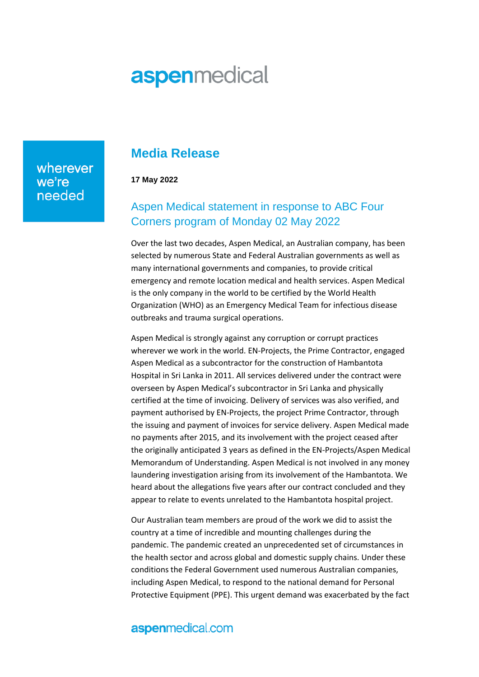# **aspenmedical**

wherever we're needed

# **Media Release**

**17 May 2022**

# Aspen Medical statement in response to ABC Four Corners program of Monday 02 May 2022

Over the last two decades, Aspen Medical, an Australian company, has been selected by numerous State and Federal Australian governments as well as many international governments and companies, to provide critical emergency and remote location medical and health services. Aspen Medical is the only company in the world to be certified by the World Health Organization (WHO) as an Emergency Medical Team for infectious disease outbreaks and trauma surgical operations.

Aspen Medical is strongly against any corruption or corrupt practices wherever we work in the world. EN-Projects, the Prime Contractor, engaged Aspen Medical as a subcontractor for the construction of Hambantota Hospital in Sri Lanka in 2011. All services delivered under the contract were overseen by Aspen Medical's subcontractor in Sri Lanka and physically certified at the time of invoicing. Delivery of services was also verified, and payment authorised by EN-Projects, the project Prime Contractor, through the issuing and payment of invoices for service delivery. Aspen Medical made no payments after 2015, and its involvement with the project ceased after the originally anticipated 3 years as defined in the EN-Projects/Aspen Medical Memorandum of Understanding. Aspen Medical is not involved in any money laundering investigation arising from its involvement of the Hambantota. We heard about the allegations five years after our contract concluded and they appear to relate to events unrelated to the Hambantota hospital project.

Our Australian team members are proud of the work we did to assist the country at a time of incredible and mounting challenges during the pandemic. The pandemic created an unprecedented set of circumstances in the health sector and across global and domestic supply chains. Under these conditions the Federal Government used numerous Australian companies, including Aspen Medical, to respond to the national demand for Personal Protective Equipment (PPE). This urgent demand was exacerbated by the fact

#### aspenmedical.com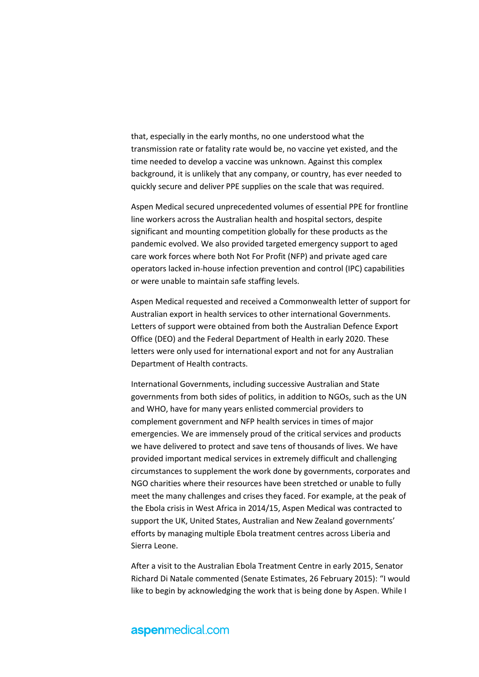that, especially in the early months, no one understood what the transmission rate or fatality rate would be, no vaccine yet existed, and the time needed to develop a vaccine was unknown. Against this complex background, it is unlikely that any company, or country, has ever needed to quickly secure and deliver PPE supplies on the scale that was required.

Aspen Medical secured unprecedented volumes of essential PPE for frontline line workers across the Australian health and hospital sectors, despite significant and mounting competition globally for these products as the pandemic evolved. We also provided targeted emergency support to aged care work forces where both Not For Profit (NFP) and private aged care operators lacked in-house infection prevention and control (IPC) capabilities or were unable to maintain safe staffing levels.

Aspen Medical requested and received a Commonwealth letter of support for Australian export in health services to other international Governments. Letters of support were obtained from both the Australian Defence Export Office (DEO) and the Federal Department of Health in early 2020. These letters were only used for international export and not for any Australian Department of Health contracts.

International Governments, including successive Australian and State governments from both sides of politics, in addition to NGOs, such as the UN and WHO, have for many years enlisted commercial providers to complement government and NFP health services in times of major emergencies. We are immensely proud of the critical services and products we have delivered to protect and save tens of thousands of lives. We have provided important medical services in extremely difficult and challenging circumstances to supplement the work done by governments, corporates and NGO charities where their resources have been stretched or unable to fully meet the many challenges and crises they faced. For example, at the peak of the Ebola crisis in West Africa in 2014/15, Aspen Medical was contracted to support the UK, United States, Australian and New Zealand governments' efforts by managing multiple Ebola treatment centres across Liberia and Sierra Leone.

After a visit to the Australian Ebola Treatment Centre in early 2015, Senator Richard Di Natale commented (Senate Estimates, 26 February 2015): "I would like to begin by acknowledging the work that is being done by Aspen. While I

### aspenmedical.com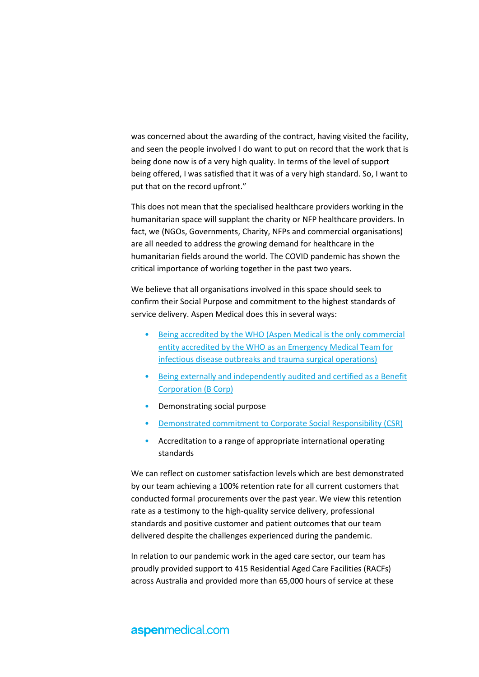was concerned about the awarding of the contract, having visited the facility, and seen the people involved I do want to put on record that the work that is being done now is of a very high quality. In terms of the level of support being offered, I was satisfied that it was of a very high standard. So, I want to put that on the record upfront."

This does not mean that the specialised healthcare providers working in the humanitarian space will supplant the charity or NFP healthcare providers. In fact, we (NGOs, Governments, Charity, NFPs and commercial organisations) are all needed to address the growing demand for healthcare in the humanitarian fields around the world. The COVID pandemic has shown the critical importance of working together in the past two years.

We believe that all organisations involved in this space should seek to confirm their Social Purpose and commitment to the highest standards of service delivery. Aspen Medical does this in several ways:

- [Being accredited by the WHO \(Aspen Medical is the only commercial](https://www.who.int/emergencies/partners/emergency-medical-teams)  [entity accredited by the WHO as an Emergency Medical Team for](https://www.who.int/emergencies/partners/emergency-medical-teams)  [infectious disease outbreaks and trauma surgical operations\)](https://www.who.int/emergencies/partners/emergency-medical-teams)
- [Being externally and independently](https://bcorporation.com.au/) audited and certified as a Benefit [Corporation \(B Corp\)](https://bcorporation.com.au/)
- Demonstrating social purpose
- [Demonstrated commitment to Corporate Social Responsibility \(CSR\)](https://youtu.be/y-2APmQe554)
- Accreditation to a range of appropriate international operating standards

We can reflect on customer satisfaction levels which are best demonstrated by our team achieving a 100% retention rate for all current customers that conducted formal procurements over the past year. We view this retention rate as a testimony to the high-quality service delivery, professional standards and positive customer and patient outcomes that our team delivered despite the challenges experienced during the pandemic.

In relation to our pandemic work in the aged care sector, our team has proudly provided support to 415 Residential Aged Care Facilities (RACFs) across Australia and provided more than 65,000 hours of service at these

### aspenmedical.com